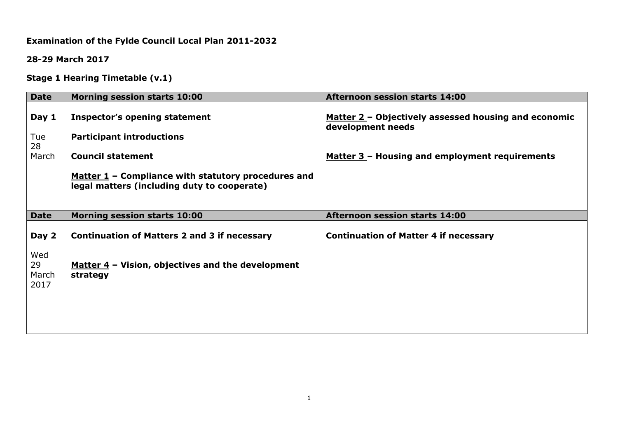# **Examination of the Fylde Council Local Plan 2011-2032**

**28-29 March 2017**

**Stage 1 Hearing Timetable (v.1)**

| Matter 2 - Objectively assessed housing and economic |
|------------------------------------------------------|
|                                                      |
| Matter 3 - Housing and employment requirements       |
|                                                      |
|                                                      |
| <b>Continuation of Matter 4 if necessary</b>         |
|                                                      |
|                                                      |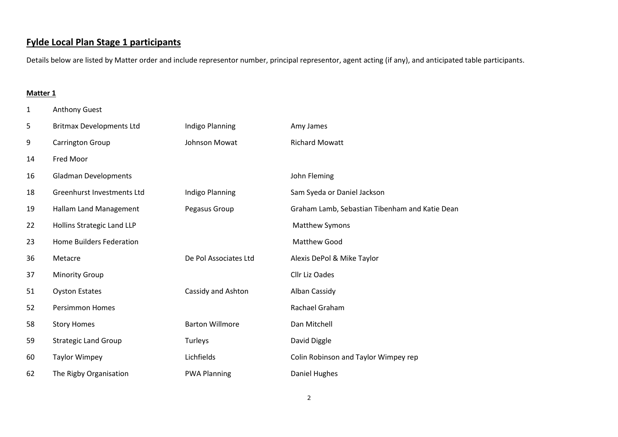# **Fylde Local Plan Stage 1 participants**

Details below are listed by Matter order and include representor number, principal representor, agent acting (if any), and anticipated table participants.

#### **Matter 1**

Anthony Guest

| 5  | <b>Britmax Developments Ltd</b> | Indigo Planning        | Amy James                                      |
|----|---------------------------------|------------------------|------------------------------------------------|
| 9  | Carrington Group                | <b>Johnson Mowat</b>   | <b>Richard Mowatt</b>                          |
| 14 | Fred Moor                       |                        |                                                |
| 16 | <b>Gladman Developments</b>     |                        | John Fleming                                   |
| 18 | Greenhurst Investments Ltd      | Indigo Planning        | Sam Syeda or Daniel Jackson                    |
| 19 | Hallam Land Management          | Pegasus Group          | Graham Lamb, Sebastian Tibenham and Katie Dean |
| 22 | Hollins Strategic Land LLP      |                        | <b>Matthew Symons</b>                          |
| 23 | <b>Home Builders Federation</b> |                        | <b>Matthew Good</b>                            |
| 36 | Metacre                         | De Pol Associates Ltd  | Alexis DePol & Mike Taylor                     |
| 37 | <b>Minority Group</b>           |                        | Cllr Liz Oades                                 |
| 51 | <b>Oyston Estates</b>           | Cassidy and Ashton     | Alban Cassidy                                  |
| 52 | <b>Persimmon Homes</b>          |                        | Rachael Graham                                 |
| 58 | <b>Story Homes</b>              | <b>Barton Willmore</b> | Dan Mitchell                                   |
| 59 | <b>Strategic Land Group</b>     | Turleys                | David Diggle                                   |
| 60 | <b>Taylor Wimpey</b>            | Lichfields             | Colin Robinson and Taylor Wimpey rep           |
| 62 | The Rigby Organisation          | <b>PWA Planning</b>    | Daniel Hughes                                  |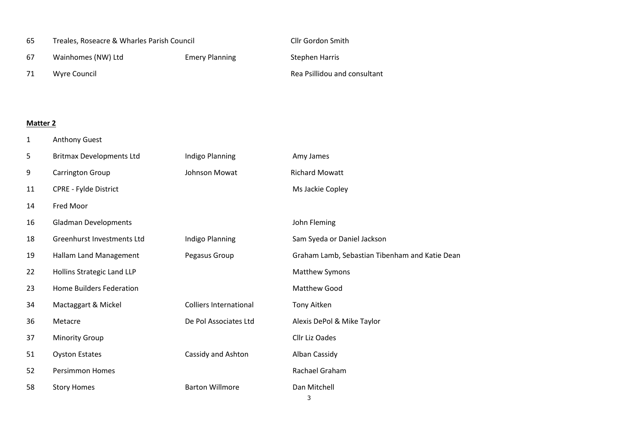| 65  | Treales, Roseacre & Wharles Parish Council |                       | <b>Cllr Gordon Smith</b>     |
|-----|--------------------------------------------|-----------------------|------------------------------|
| 67  | Wainhomes (NW) Ltd                         | <b>Emery Planning</b> | Stephen Harris               |
| -71 | Wyre Council                               |                       | Rea Psillidou and consultant |

### **Matter 2**

Anthony Guest

| 5  | <b>Britmax Developments Ltd</b> | Indigo Planning               | Amy James                                      |
|----|---------------------------------|-------------------------------|------------------------------------------------|
| 9  | <b>Carrington Group</b>         | Johnson Mowat                 | <b>Richard Mowatt</b>                          |
| 11 | <b>CPRE - Fylde District</b>    |                               | Ms Jackie Copley                               |
| 14 | Fred Moor                       |                               |                                                |
| 16 | <b>Gladman Developments</b>     |                               | John Fleming                                   |
| 18 | Greenhurst Investments Ltd      | Indigo Planning               | Sam Syeda or Daniel Jackson                    |
| 19 | Hallam Land Management          | Pegasus Group                 | Graham Lamb, Sebastian Tibenham and Katie Dean |
| 22 | Hollins Strategic Land LLP      |                               | <b>Matthew Symons</b>                          |
| 23 | <b>Home Builders Federation</b> |                               | Matthew Good                                   |
| 34 | Mactaggart & Mickel             | <b>Colliers International</b> | Tony Aitken                                    |
| 36 | Metacre                         | De Pol Associates Ltd         | Alexis DePol & Mike Taylor                     |
| 37 | <b>Minority Group</b>           |                               | Cllr Liz Oades                                 |
| 51 | <b>Oyston Estates</b>           | Cassidy and Ashton            | Alban Cassidy                                  |
| 52 | <b>Persimmon Homes</b>          |                               | Rachael Graham                                 |
| 58 | <b>Story Homes</b>              | <b>Barton Willmore</b>        | Dan Mitchell                                   |
|    |                                 |                               |                                                |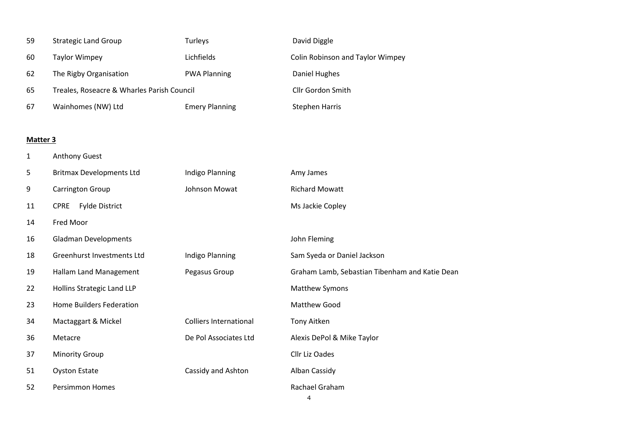| 59       | <b>Strategic Land Group</b>                | Turleys                       | David Diggle                                   |
|----------|--------------------------------------------|-------------------------------|------------------------------------------------|
| 60       | <b>Taylor Wimpey</b>                       | Lichfields                    | Colin Robinson and Taylor Wimpey               |
| 62       | The Rigby Organisation                     | <b>PWA Planning</b>           | <b>Daniel Hughes</b>                           |
| 65       | Treales, Roseacre & Wharles Parish Council |                               | Cllr Gordon Smith                              |
| 67       | Wainhomes (NW) Ltd                         | <b>Emery Planning</b>         | <b>Stephen Harris</b>                          |
|          |                                            |                               |                                                |
| Matter 3 |                                            |                               |                                                |
| 1        | <b>Anthony Guest</b>                       |                               |                                                |
| 5        | <b>Britmax Developments Ltd</b>            | Indigo Planning               | Amy James                                      |
| 9        | Carrington Group                           | Johnson Mowat                 | <b>Richard Mowatt</b>                          |
| 11       | CPRE Fylde District                        |                               | Ms Jackie Copley                               |
| 14       | Fred Moor                                  |                               |                                                |
| 16       | <b>Gladman Developments</b>                |                               | John Fleming                                   |
| 18       | Greenhurst Investments Ltd                 | Indigo Planning               | Sam Syeda or Daniel Jackson                    |
| 19       | Hallam Land Management                     | Pegasus Group                 | Graham Lamb, Sebastian Tibenham and Katie Dean |
| 22       | Hollins Strategic Land LLP                 |                               | <b>Matthew Symons</b>                          |
| 23       | <b>Home Builders Federation</b>            |                               | Matthew Good                                   |
| 34       | Mactaggart & Mickel                        | <b>Colliers International</b> | Tony Aitken                                    |
| 36       | Metacre                                    | De Pol Associates Ltd         | Alexis DePol & Mike Taylor                     |
| 37       | <b>Minority Group</b>                      |                               | Cllr Liz Oades                                 |
| 51       | <b>Oyston Estate</b>                       | Cassidy and Ashton            | Alban Cassidy                                  |
| 52       | Persimmon Homes                            |                               | Rachael Graham<br>4                            |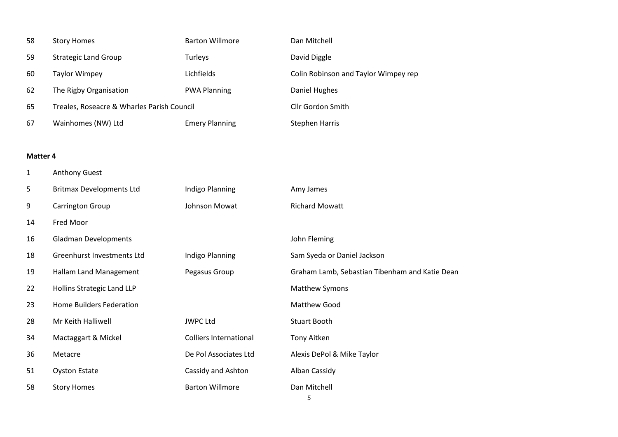| 58 | <b>Story Homes</b>                         | <b>Barton Willmore</b> | Dan Mitchell                         |
|----|--------------------------------------------|------------------------|--------------------------------------|
| 59 | <b>Strategic Land Group</b>                | Turleys                | David Diggle                         |
| 60 | Taylor Wimpey                              | Lichfields             | Colin Robinson and Taylor Wimpey rep |
| 62 | The Rigby Organisation                     | <b>PWA Planning</b>    | Daniel Hughes                        |
| 65 | Treales, Roseacre & Wharles Parish Council | Cllr Gordon Smith      |                                      |
| 67 | Wainhomes (NW) Ltd                         | <b>Emery Planning</b>  | <b>Stephen Harris</b>                |

### **Matter 4**

| $\mathbf{1}$ | <b>Anthony Guest</b>            |                               |                                                |
|--------------|---------------------------------|-------------------------------|------------------------------------------------|
| 5            | <b>Britmax Developments Ltd</b> | Indigo Planning               | Amy James                                      |
| 9            | <b>Carrington Group</b>         | Johnson Mowat                 | <b>Richard Mowatt</b>                          |
| 14           | Fred Moor                       |                               |                                                |
| 16           | <b>Gladman Developments</b>     |                               | John Fleming                                   |
| 18           | Greenhurst Investments Ltd      | Indigo Planning               | Sam Syeda or Daniel Jackson                    |
| 19           | Hallam Land Management          | Pegasus Group                 | Graham Lamb, Sebastian Tibenham and Katie Dean |
| 22           | Hollins Strategic Land LLP      |                               | Matthew Symons                                 |
| 23           | Home Builders Federation        |                               | Matthew Good                                   |
| 28           | Mr Keith Halliwell              | <b>JWPC Ltd</b>               | <b>Stuart Booth</b>                            |
| 34           | Mactaggart & Mickel             | <b>Colliers International</b> | Tony Aitken                                    |
| 36           | Metacre                         | De Pol Associates Ltd         | Alexis DePol & Mike Taylor                     |
| 51           | <b>Oyston Estate</b>            | Cassidy and Ashton            | Alban Cassidy                                  |
| 58           | <b>Story Homes</b>              | <b>Barton Willmore</b>        | Dan Mitchell<br>5                              |